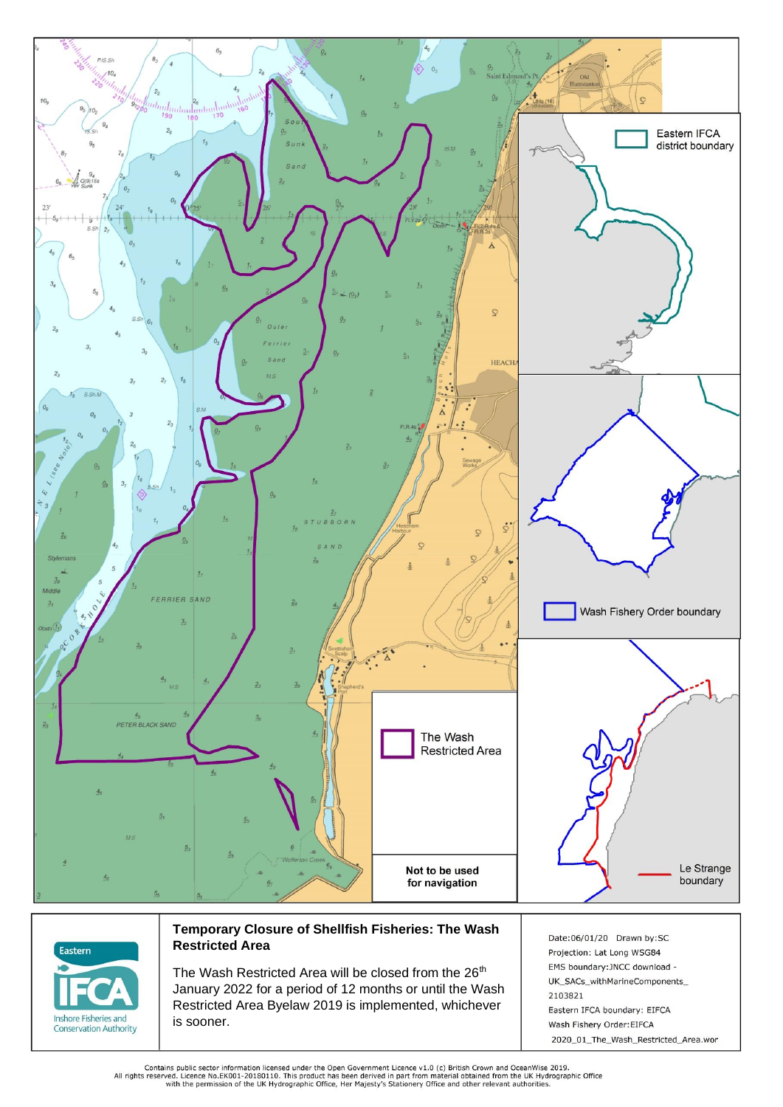



## **Temporary Closure of Shellfish Fisheries: The Wash Restricted Area**

The Wash Restricted Area will be closed from the 26<sup>th</sup> January 2022 for a period of 12 months or until the Wash Restricted Area Byelaw 2019 is implemented, whichever is sooner.

Date:06/01/20 Drawn by:SC Projection: Lat Long WSG84 EMS boundary: JNCC download -UK\_SACs\_withMarineComponents\_ 2103821 Eastern IFCA boundary: EIFCA Wash Fishery Order: EIFCA 2020\_01\_The\_Wash\_Restricted\_Area.wor

Contains public sector information licensed under the Open Government Licence v1.0 (c) British Crown and OceanWise 2019.<br>All rights reserved. Licence No.EK001-20180110. This product has been derived in part from material o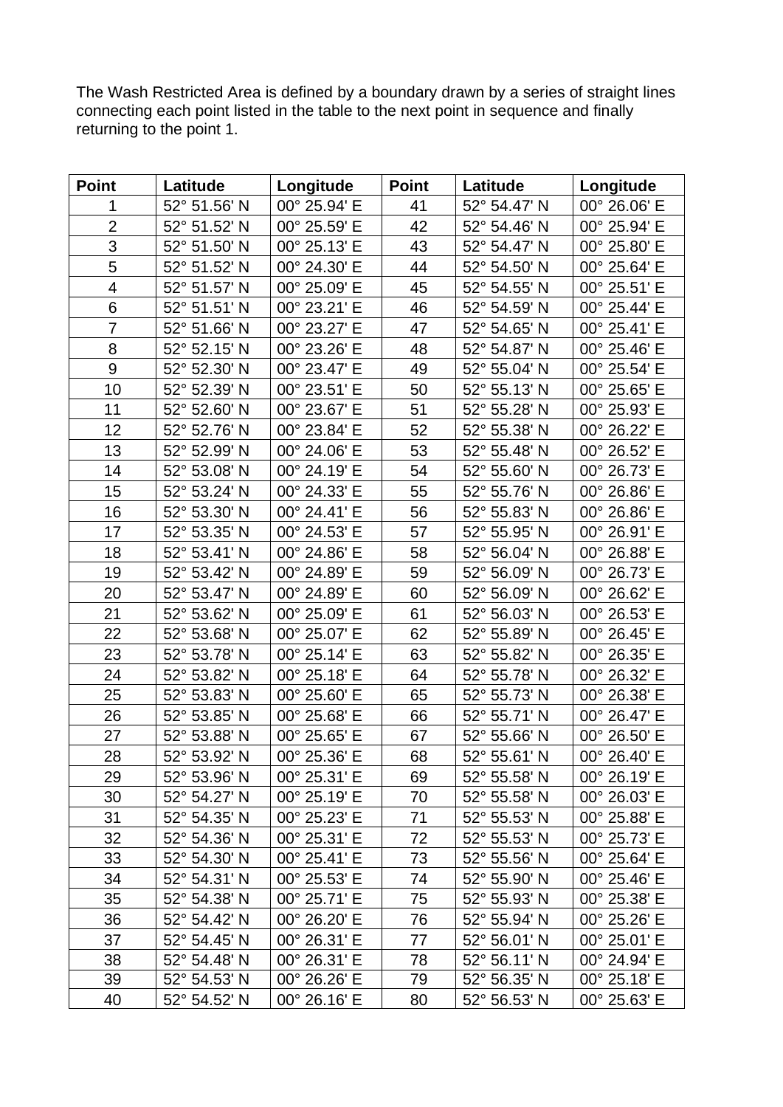The Wash Restricted Area is defined by a boundary drawn by a series of straight lines connecting each point listed in the table to the next point in sequence and finally returning to the point 1.

| <b>Point</b>             | Latitude     | Longitude    | <b>Point</b> | Latitude     | Longitude    |
|--------------------------|--------------|--------------|--------------|--------------|--------------|
| 1                        | 52° 51.56' N | 00° 25.94' E | 41           | 52° 54.47' N | 00° 26.06' E |
| $\overline{2}$           | 52° 51.52' N | 00° 25.59' E | 42           | 52° 54.46' N | 00° 25.94' E |
| 3                        | 52° 51.50' N | 00° 25.13' E | 43           | 52° 54.47' N | 00° 25.80' E |
| 5                        | 52° 51.52' N | 00° 24.30' E | 44           | 52° 54.50' N | 00° 25.64' E |
| $\overline{\mathcal{A}}$ | 52° 51.57' N | 00° 25.09' E | 45           | 52° 54.55' N | 00° 25.51' E |
| 6                        | 52° 51.51' N | 00° 23.21' E | 46           | 52° 54.59' N | 00° 25.44' E |
| $\overline{7}$           | 52° 51.66' N | 00° 23.27' E | 47           | 52° 54.65' N | 00° 25.41' E |
| 8                        | 52° 52.15' N | 00° 23.26' E | 48           | 52° 54.87' N | 00° 25.46' E |
| 9                        | 52° 52.30' N | 00° 23.47' E | 49           | 52° 55.04' N | 00° 25.54' E |
| 10                       | 52° 52.39' N | 00° 23.51' E | 50           | 52° 55.13' N | 00° 25.65' E |
| 11                       | 52° 52.60' N | 00° 23.67' E | 51           | 52° 55.28' N | 00° 25.93' E |
| 12                       | 52° 52.76' N | 00° 23.84' E | 52           | 52° 55.38' N | 00° 26.22' E |
| 13                       | 52° 52.99' N | 00° 24.06' E | 53           | 52° 55.48' N | 00° 26.52' E |
| 14                       | 52° 53.08' N | 00° 24.19' E | 54           | 52° 55.60' N | 00° 26.73' E |
| 15                       | 52° 53.24' N | 00° 24.33' E | 55           | 52° 55.76' N | 00° 26.86' E |
| 16                       | 52° 53.30' N | 00° 24.41' E | 56           | 52° 55.83' N | 00° 26.86' E |
| 17                       | 52° 53.35' N | 00° 24.53' E | 57           | 52° 55.95' N | 00° 26.91' E |
| 18                       | 52° 53.41' N | 00° 24.86' E | 58           | 52° 56.04' N | 00° 26.88' E |
| 19                       | 52° 53.42' N | 00° 24.89' E | 59           | 52° 56.09' N | 00° 26.73' E |
| 20                       | 52° 53.47' N | 00° 24.89' E | 60           | 52° 56.09' N | 00° 26.62' E |
| 21                       | 52° 53.62' N | 00° 25.09' E | 61           | 52° 56.03' N | 00° 26.53' E |
| 22                       | 52° 53.68' N | 00° 25.07' E | 62           | 52° 55.89' N | 00° 26.45' E |
| 23                       | 52° 53.78' N | 00° 25.14' E | 63           | 52° 55.82' N | 00° 26.35' E |
| 24                       | 52° 53.82' N | 00° 25.18' E | 64           | 52° 55.78' N | 00° 26.32' E |
| 25                       | 52° 53.83' N | 00° 25.60' E | 65           | 52° 55.73' N | 00° 26.38' E |
| 26                       | 52° 53.85' N | 00° 25.68' E | 66           | 52° 55.71' N | 00° 26.47' E |
| 27                       | 52° 53.88' N | 00° 25.65' E | 67           | 52° 55.66' N | 00° 26.50' E |
| 28                       | 52° 53.92' N | 00° 25.36' E | 68           | 52° 55.61' N | 00° 26.40' E |
| 29                       | 52° 53.96' N | 00° 25.31' E | 69           | 52° 55.58' N | 00° 26.19' E |
| 30                       | 52° 54.27' N | 00° 25.19' E | 70           | 52° 55.58' N | 00° 26.03' E |
| 31                       | 52° 54.35' N | 00° 25.23' E | 71           | 52° 55.53' N | 00° 25.88' E |
| 32                       | 52° 54.36' N | 00° 25.31' E | 72           | 52° 55.53' N | 00° 25.73' E |
| 33                       | 52° 54.30' N | 00° 25.41' E | 73           | 52° 55.56' N | 00° 25.64' E |
| 34                       | 52° 54.31' N | 00° 25.53' E | 74           | 52° 55.90' N | 00° 25.46' E |
| 35                       | 52° 54.38' N | 00° 25.71' E | 75           | 52° 55.93' N | 00° 25.38' E |
| 36                       | 52° 54.42' N | 00° 26.20' E | 76           | 52° 55.94' N | 00° 25.26' E |
| 37                       | 52° 54.45' N | 00° 26.31' E | 77           | 52° 56.01' N | 00° 25.01' E |
| 38                       | 52° 54.48' N | 00° 26.31' E | 78           | 52° 56.11' N | 00° 24.94' E |
| 39                       | 52° 54.53' N | 00° 26.26' E | 79           | 52° 56.35' N | 00° 25.18' E |
| 40                       | 52° 54.52' N | 00° 26.16' E | 80           | 52° 56.53' N | 00° 25.63' E |